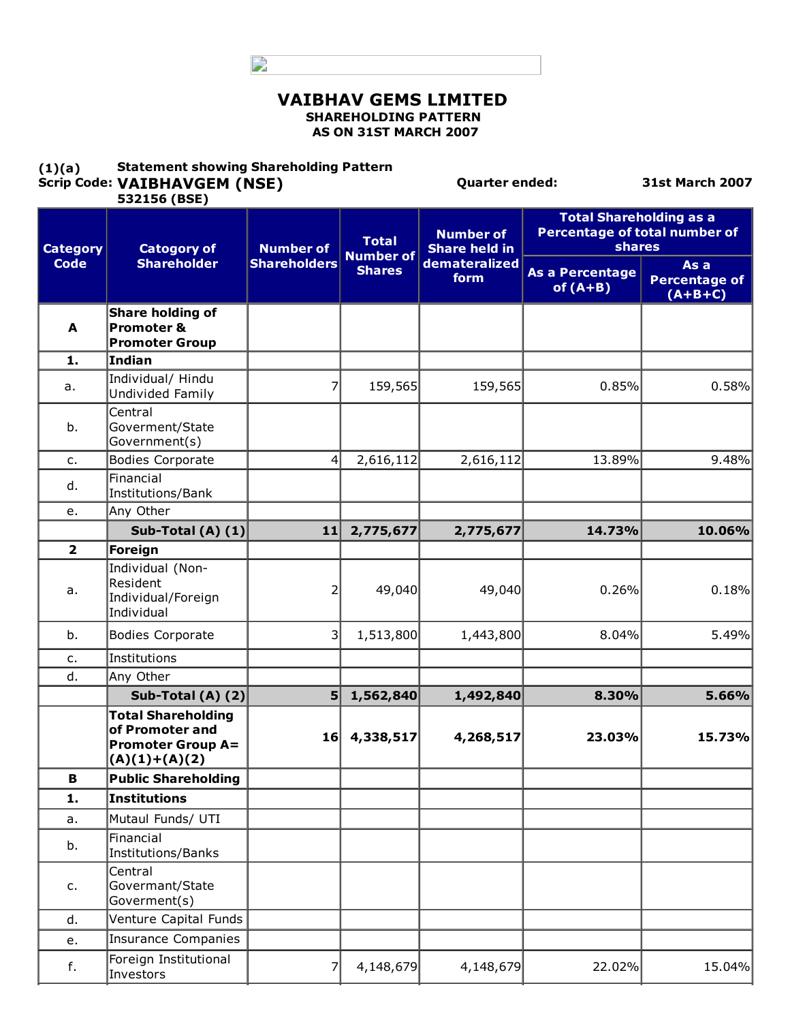D

#### VAIBHAV GEMS LIMITED SHAREHOLDING PATTERN AS ON 31ST MARCH 2007

#### $(1)(a)$ Scrip Code: VAIBHAVGEM (NSE) Statement showing Shareholding Pattern

f.

Investors

7 4,148,679 4,148,679 22.02% 15.04%

Quarter ended: 31st March 2007

|                 | 532156 (BSE)                                                                                |                                         |                                  |                                                                   |                                                                                  |                                           |
|-----------------|---------------------------------------------------------------------------------------------|-----------------------------------------|----------------------------------|-------------------------------------------------------------------|----------------------------------------------------------------------------------|-------------------------------------------|
| <b>Category</b> | <b>Catogory of</b><br><b>Shareholder</b>                                                    | <b>Number of</b><br><b>Shareholders</b> | <b>Total</b><br><b>Number of</b> | <b>Number of</b><br><b>Share held in</b><br>demateralized<br>form | <b>Total Shareholding as a</b><br>Percentage of total number of<br><b>shares</b> |                                           |
| <b>Code</b>     |                                                                                             |                                         | <b>Shares</b>                    |                                                                   | <b>As a Percentage</b><br>of $(A+B)$                                             | As a<br><b>Percentage of</b><br>$(A+B+C)$ |
| A               | Share holding of<br>Promoter &<br><b>Promoter Group</b>                                     |                                         |                                  |                                                                   |                                                                                  |                                           |
| 1.              | Indian                                                                                      |                                         |                                  |                                                                   |                                                                                  |                                           |
| a.              | Individual/ Hindu<br>Undivided Family                                                       | 7                                       | 159,565                          | 159,565                                                           | 0.85%                                                                            | 0.58%                                     |
| b.              | Central<br>Goverment/State<br>Government(s)                                                 |                                         |                                  |                                                                   |                                                                                  |                                           |
| c.              | <b>Bodies Corporate</b>                                                                     | 4                                       | 2,616,112                        | 2,616,112                                                         | 13.89%                                                                           | 9.48%                                     |
| d.              | Financial<br>Institutions/Bank                                                              |                                         |                                  |                                                                   |                                                                                  |                                           |
| e.              | Any Other                                                                                   |                                         |                                  |                                                                   |                                                                                  |                                           |
|                 | Sub-Total (A) $(1)$                                                                         | 11                                      | 2,775,677                        | 2,775,677                                                         | 14.73%                                                                           | 10.06%                                    |
| $\overline{2}$  | Foreign                                                                                     |                                         |                                  |                                                                   |                                                                                  |                                           |
| a.              | Individual (Non-<br>Resident<br>Individual/Foreign<br>Individual                            | 2                                       | 49,040                           | 49,040                                                            | 0.26%                                                                            | 0.18%                                     |
| b.              | <b>Bodies Corporate</b>                                                                     | 3                                       | 1,513,800                        | 1,443,800                                                         | 8.04%                                                                            | 5.49%                                     |
| c.              | Institutions                                                                                |                                         |                                  |                                                                   |                                                                                  |                                           |
| d.              | Any Other                                                                                   |                                         |                                  |                                                                   |                                                                                  |                                           |
|                 | Sub-Total (A) (2)                                                                           | 5                                       | 1,562,840                        | 1,492,840                                                         | 8.30%                                                                            | 5.66%                                     |
|                 | <b>Total Shareholding</b><br>of Promoter and<br><b>Promoter Group A=</b><br>$(A)(1)+(A)(2)$ | 16                                      | 4,338,517                        | 4,268,517                                                         | 23.03%                                                                           | 15.73%                                    |
| B               | <b>Public Shareholding</b>                                                                  |                                         |                                  |                                                                   |                                                                                  |                                           |
| 1.              | Institutions                                                                                |                                         |                                  |                                                                   |                                                                                  |                                           |
| а.              | Mutaul Funds/ UTI                                                                           |                                         |                                  |                                                                   |                                                                                  |                                           |
| b.              | Financial<br>Institutions/Banks                                                             |                                         |                                  |                                                                   |                                                                                  |                                           |
| c.              | Central<br>Govermant/State<br>Goverment(s)                                                  |                                         |                                  |                                                                   |                                                                                  |                                           |
| d.              | Venture Capital Funds                                                                       |                                         |                                  |                                                                   |                                                                                  |                                           |
| e.              | <b>Insurance Companies</b>                                                                  |                                         |                                  |                                                                   |                                                                                  |                                           |
|                 | Foreign Institutional                                                                       |                                         | 1.10770                          | 1.105                                                             | 22000                                                                            | 10001                                     |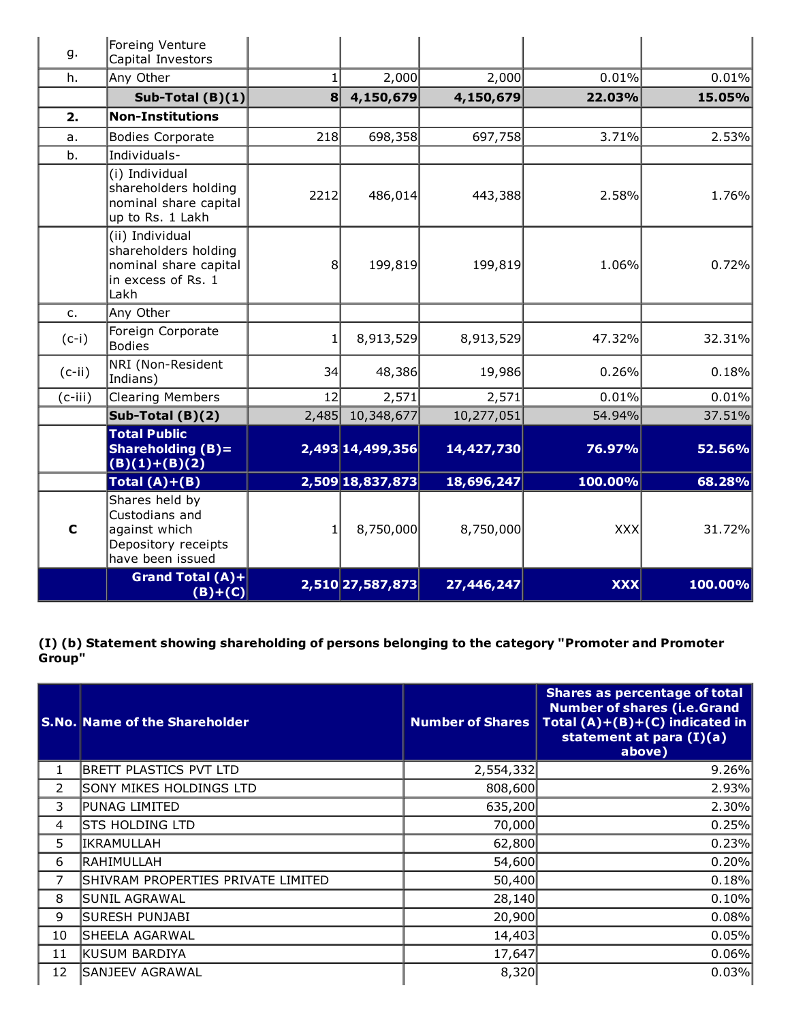| g.          | Foreing Venture<br>Capital Investors                                                                |                 |                  |            |            |         |
|-------------|-----------------------------------------------------------------------------------------------------|-----------------|------------------|------------|------------|---------|
| h.          | Any Other                                                                                           | $\mathbf{1}$    | 2,000            | 2,000      | 0.01%      | 0.01%   |
|             | Sub-Total $(B)(1)$                                                                                  | $\vert 8 \vert$ | 4,150,679        | 4,150,679  | 22.03%     | 15.05%  |
| 2.          | <b>Non-Institutions</b>                                                                             |                 |                  |            |            |         |
| a.          | <b>Bodies Corporate</b>                                                                             | 218             | 698,358          | 697,758    | 3.71%      | 2.53%   |
| b.          | Individuals-                                                                                        |                 |                  |            |            |         |
|             | (i) Individual<br>shareholders holding<br>nominal share capital<br>up to Rs. 1 Lakh                 | 2212            | 486,014          | 443,388    | 2.58%      | 1.76%   |
|             | (ii) Individual<br>shareholders holding<br>nominal share capital<br>$\ln$ excess of Rs. $1$<br>Lakh | 8 <sup>1</sup>  | 199,819          | 199,819    | 1.06%      | 0.72%   |
| $C_{1}$     | Any Other                                                                                           |                 |                  |            |            |         |
| $(c-i)$     | Foreign Corporate<br>Bodies                                                                         | 1               | 8,913,529        | 8,913,529  | 47.32%     | 32.31%  |
| $(c-ii)$    | NRI (Non-Resident<br>Indians)                                                                       | 34              | 48,386           | 19,986     | 0.26%      | 0.18%   |
| $(c-iii)$   | <b>Clearing Members</b>                                                                             | 12              | 2,571            | 2,571      | 0.01%      | 0.01%   |
|             | Sub-Total $(B)(2)$                                                                                  | 2,485           | 10,348,677       | 10,277,051 | 54.94%     | 37.51%  |
|             | <b>Total Public</b><br><b>Shareholding (B)=</b><br>$(B)(1)+(B)(2)$                                  |                 | 2,493 14,499,356 | 14,427,730 | 76.97%     | 52.56%  |
|             | Total $(A)+(B)$                                                                                     |                 | 2,509 18,837,873 | 18,696,247 | 100.00%    | 68.28%  |
| $\mathbf C$ | Shares held by<br>Custodians and<br>against which<br>Depository receipts<br>have been issued        |                 | 8,750,000        | 8,750,000  | XXX        | 31.72%  |
|             | Grand Total (A)+<br>$(B)+(C)$                                                                       |                 | 2,510 27,587,873 | 27,446,247 | <b>XXX</b> | 100.00% |

(I) (b) Statement showing shareholding of persons belonging to the category "Promoter and Promoter Group"

|    | <b>S.No. Name of the Shareholder</b> | <b>Number of Shares</b> | <b>Shares as percentage of total</b><br><b>Number of shares (i.e.Grand</b><br>Total $(A)+(B)+(C)$ indicated in<br>statement at para (I)(a)<br>above) |
|----|--------------------------------------|-------------------------|------------------------------------------------------------------------------------------------------------------------------------------------------|
| 1  | <b>BRETT PLASTICS PVT LTD</b>        | 2,554,332               | 9.26%                                                                                                                                                |
| 2  | SONY MIKES HOLDINGS LTD              | 808,600                 | 2.93%                                                                                                                                                |
| 3  | PUNAG LIMITED                        | 635,200                 | 2.30%                                                                                                                                                |
| 4  | <b>STS HOLDING LTD</b>               | 70,000                  | 0.25%                                                                                                                                                |
| 5  | IKRAMULLAH                           | 62,800                  | 0.23%                                                                                                                                                |
| 6  | RAHIMULLAH                           | 54,600                  | 0.20%                                                                                                                                                |
| 7  | SHIVRAM PROPERTIES PRIVATE LIMITED   | 50,400                  | 0.18%                                                                                                                                                |
| 8  | SUNIL AGRAWAL                        | 28,140                  | 0.10%                                                                                                                                                |
| 9  | SURESH PUNJABI                       | 20,900                  | 0.08%                                                                                                                                                |
| 10 | SHEELA AGARWAL                       | 14,403                  | 0.05%                                                                                                                                                |
| 11 | KUSUM BARDIYA                        | 17,647                  | 0.06%                                                                                                                                                |
| 12 | SANJEEV AGRAWAL                      | 8,320                   | 0.03%                                                                                                                                                |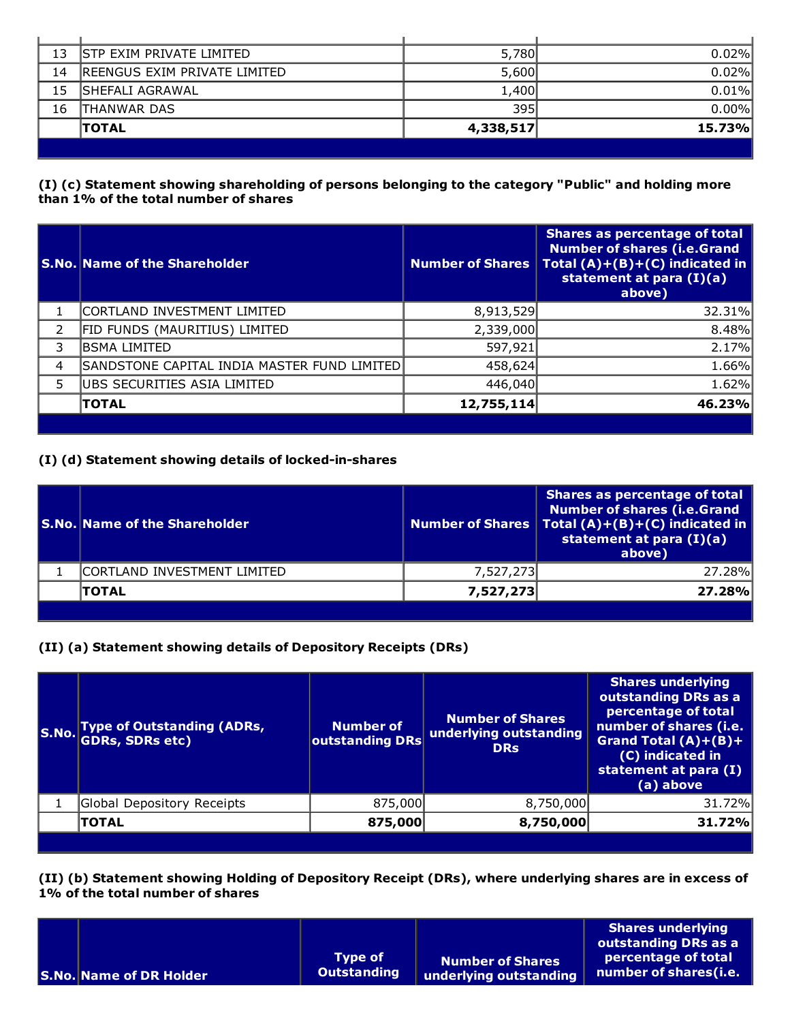| 13 | <b>STP EXIM PRIVATE LIMITED</b> | 5,780     | 0.02%  |
|----|---------------------------------|-----------|--------|
| 14 | IREENGUS EXIM PRIVATE LIMITED   | 5,600     | 0.02%  |
| 15 | ISHEFALI AGRAWAL                | 1,400     | 0.01%  |
| 16 | ITHANWAR DAS                    | 395       | 0.00%  |
|    | <b>TOTAL</b>                    | 4,338,517 | 15.73% |
|    |                                 |           |        |

## (I) (c) Statement showing shareholding of persons belonging to the category "Public" and holding more than 1% of the total number of shares

|   | <b>S.No. Name of the Shareholder</b>        | <b>Number of Shares</b> | <b>Shares as percentage of total</b><br><b>Number of shares (i.e.Grand</b><br>Total $(A)+(B)+(C)$ indicated in<br>statement at para $(I)(a)$<br>above) |
|---|---------------------------------------------|-------------------------|--------------------------------------------------------------------------------------------------------------------------------------------------------|
|   | CORTLAND INVESTMENT LIMITED                 | 8,913,529               | 32.31%                                                                                                                                                 |
| 2 | FID FUNDS (MAURITIUS) LIMITED               | 2,339,000               | 8.48%                                                                                                                                                  |
| 3 | BSMA LIMITED                                | 597,921                 | 2.17%                                                                                                                                                  |
| 4 | SANDSTONE CAPITAL INDIA MASTER FUND LIMITED | 458,624                 | 1.66%                                                                                                                                                  |
| 5 | UBS SECURITIES ASIA LIMITED                 | 446,040                 | 1.62%                                                                                                                                                  |
|   | <b>TOTAL</b>                                | 12,755,114              | 46.23%                                                                                                                                                 |
|   |                                             |                         |                                                                                                                                                        |

## (I) (d) Statement showing details of locked-in-shares

| <b>S.No. Name of the Shareholder</b> |           | Shares as percentage of total<br><b>Number of shares (i.e.Grand</b><br>Number of Shares   Total $(A)+(B)+(C)$ indicated in<br>statement at para (I)(a)<br>above) |
|--------------------------------------|-----------|------------------------------------------------------------------------------------------------------------------------------------------------------------------|
| CORTLAND INVESTMENT LIMITED          | 7,527,273 | 27.28%                                                                                                                                                           |
| <b>TOTAL</b>                         | 7,527,273 | 27.28%                                                                                                                                                           |

# (II) (a) Statement showing details of Depository Receipts (DRs)

| S.No. | <b>Type of Outstanding (ADRs,</b><br><b>GDRs, SDRs etc)</b> | <b>Number of</b><br>outstanding DRs | Number of Shares<br>underlying outstanding<br><b>DRs</b> | <b>Shares underlying</b><br>outstanding DRs as a<br>percentage of total<br>number of shares (i.e.<br>Grand Total $(A)+(B)+$<br>(C) indicated in<br>statement at para (I)<br>(a) above |
|-------|-------------------------------------------------------------|-------------------------------------|----------------------------------------------------------|---------------------------------------------------------------------------------------------------------------------------------------------------------------------------------------|
|       | Global Depository Receipts                                  | 875,000                             | 8,750,000                                                | 31.72%                                                                                                                                                                                |
|       | <b>TOTAL</b>                                                | 875,000                             | 8,750,000                                                | 31.72%                                                                                                                                                                                |
|       |                                                             |                                     |                                                          |                                                                                                                                                                                       |

(II) (b) Statement showing Holding of Depository Receipt (DRs), where underlying shares are in excess of 1% of the total number of shares